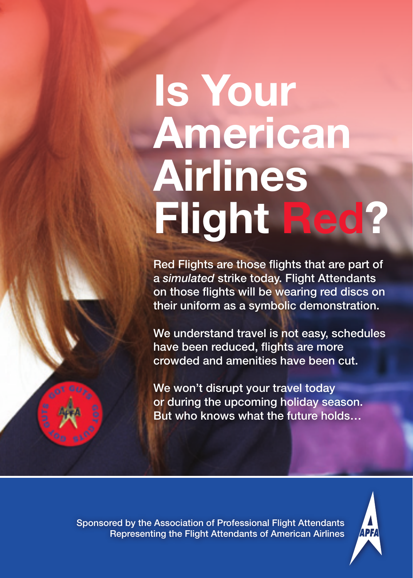## Is Your American Airlines Flight Red?

Red Flights are those flights that are part of a *simulated* strike today. Flight Attendants on those flights will be wearing red discs on their uniform as a symbolic demonstration.

We understand travel is not easy, schedules have been reduced, flights are more crowded and amenities have been cut.

We won't disrupt your travel today or during the upcoming holiday season. But who knows what the future holds…



Sponsored by the Association of Professional Flight Attendants Representing the Flight Attendants of American Airlines